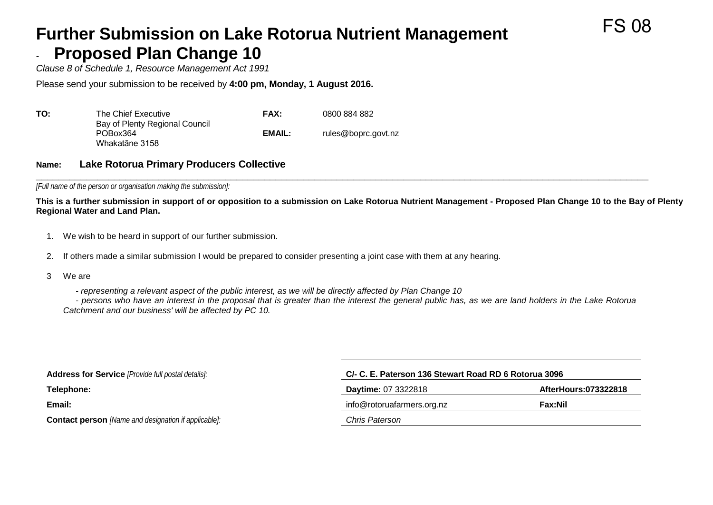#### **Further Submission on Lake Rotorua Nutrient Management Proposed Plan Change 10**

*Clause 8 of Schedule 1, Resource Management Act 1991*

Please send your submission to be received by **4:00 pm, Monday, 1 August 2016.**

| ΤΟ: | The Chief Executive                                          | FAX:   | 0800 884 882        |
|-----|--------------------------------------------------------------|--------|---------------------|
|     | Bay of Plenty Regional Council<br>POBox364<br>Whakatāne 3158 | EMAIL: | rules@boprc.govt.nz |

#### **Name: Lake Rotorua Primary Producers Collective**

**\_\_\_\_\_\_\_\_\_\_\_\_\_\_\_\_\_\_\_\_\_\_\_\_\_\_\_\_\_\_\_\_\_\_\_\_\_\_\_\_\_\_\_\_\_\_\_\_\_\_\_\_\_\_\_\_\_\_\_\_\_\_\_\_\_\_\_\_\_\_\_\_\_\_\_\_\_\_\_\_\_\_\_\_\_\_\_\_\_\_\_\_\_\_\_\_\_\_\_\_\_\_\_\_\_\_\_\_\_\_** *[Full name of the person or organisation making the submission]:*

**This is a further submission in support of or opposition to a submission on Lake Rotorua Nutrient Management - Proposed Plan Change 10 to the Bay of Plenty Regional Water and Land Plan.**

- 1. We wish to be heard in support of our further submission.
- 2. If others made a similar submission I would be prepared to consider presenting a joint case with them at any hearing.
- 3 We are

- *representing a relevant aspect of the public interest, as we will be directly affected by Plan Change 10*

- *persons who have an interest in the proposal that is greater than the interest the general public has, as we are land holders in the Lake Rotorua Catchment and our business' will be affected by PC 10.*

| <b>Address for Service</b> [Provide full postal details]:   | C/- C. E. Paterson 136 Stewart Road RD 6 Rotorua 3096 |                                 |  |  |
|-------------------------------------------------------------|-------------------------------------------------------|---------------------------------|--|--|
| Telephone:                                                  | <b>Daytime: 07 3322818</b>                            | AfterHours:073322818<br>Fax:Nil |  |  |
| Email:                                                      | info@rotoruafarmers.org.nz                            |                                 |  |  |
| <b>Contact person</b> [Name and designation if applicable]: | Chris Paterson                                        |                                 |  |  |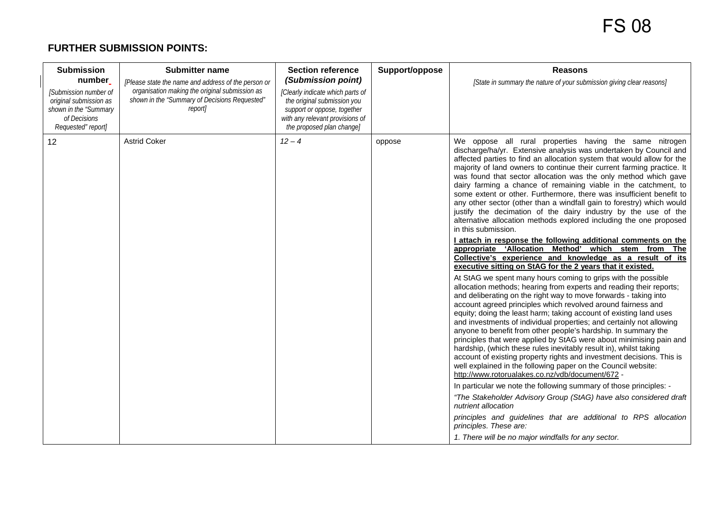#### **FURTHER SUBMISSION POINTS:**

| <b>Submission</b><br>number<br>[Submission number of<br>original submission as<br>shown in the "Summary<br>of Decisions<br>Requested" report] | <b>Submitter name</b><br>[Please state the name and address of the person or<br>organisation making the original submission as<br>shown in the "Summary of Decisions Requested"<br>reportl | <b>Section reference</b><br>(Submission point)<br>[Clearly indicate which parts of<br>the original submission you<br>support or oppose, together<br>with any relevant provisions of<br>the proposed plan change] | Support/oppose | <b>Reasons</b><br>[State in summary the nature of your submission giving clear reasons]                                                                                                                                                                                                                                                                                                                                                                                                                                                                                                                                                                                                                                                                                                                                                                                                                                                                                                                                                                                                                                                                                                                                                                                                                                                                                                                                                                                                                                                                                                                                                                                                                                                                                                                                                                                                                                                                                                                                                                                                                                                              |
|-----------------------------------------------------------------------------------------------------------------------------------------------|--------------------------------------------------------------------------------------------------------------------------------------------------------------------------------------------|------------------------------------------------------------------------------------------------------------------------------------------------------------------------------------------------------------------|----------------|------------------------------------------------------------------------------------------------------------------------------------------------------------------------------------------------------------------------------------------------------------------------------------------------------------------------------------------------------------------------------------------------------------------------------------------------------------------------------------------------------------------------------------------------------------------------------------------------------------------------------------------------------------------------------------------------------------------------------------------------------------------------------------------------------------------------------------------------------------------------------------------------------------------------------------------------------------------------------------------------------------------------------------------------------------------------------------------------------------------------------------------------------------------------------------------------------------------------------------------------------------------------------------------------------------------------------------------------------------------------------------------------------------------------------------------------------------------------------------------------------------------------------------------------------------------------------------------------------------------------------------------------------------------------------------------------------------------------------------------------------------------------------------------------------------------------------------------------------------------------------------------------------------------------------------------------------------------------------------------------------------------------------------------------------------------------------------------------------------------------------------------------------|
| 12                                                                                                                                            | <b>Astrid Coker</b>                                                                                                                                                                        | $12 - 4$                                                                                                                                                                                                         | oppose         | We oppose all rural properties having the same nitrogen<br>discharge/ha/yr. Extensive analysis was undertaken by Council and<br>affected parties to find an allocation system that would allow for the<br>majority of land owners to continue their current farming practice. It<br>was found that sector allocation was the only method which gave<br>dairy farming a chance of remaining viable in the catchment, to<br>some extent or other. Furthermore, there was insufficient benefit to<br>any other sector (other than a windfall gain to forestry) which would<br>justify the decimation of the dairy industry by the use of the<br>alternative allocation methods explored including the one proposed<br>in this submission.<br>I attach in response the following additional comments on the<br>appropriate 'Allocation Method' which stem from The<br>Collective's experience and knowledge as a result of its<br>executive sitting on StAG for the 2 years that it existed.<br>At StAG we spent many hours coming to grips with the possible<br>allocation methods; hearing from experts and reading their reports;<br>and deliberating on the right way to move forwards - taking into<br>account agreed principles which revolved around fairness and<br>equity; doing the least harm; taking account of existing land uses<br>and investments of individual properties; and certainly not allowing<br>anyone to benefit from other people's hardship. In summary the<br>principles that were applied by StAG were about minimising pain and<br>hardship, (which these rules inevitably result in), whilst taking<br>account of existing property rights and investment decisions. This is<br>well explained in the following paper on the Council website:<br>http://www.rotorualakes.co.nz/vdb/document/672 -<br>In particular we note the following summary of those principles: -<br>"The Stakeholder Advisory Group (StAG) have also considered draft<br>nutrient allocation<br>principles and guidelines that are additional to RPS allocation<br>principles. These are:<br>1. There will be no major windfalls for any sector. |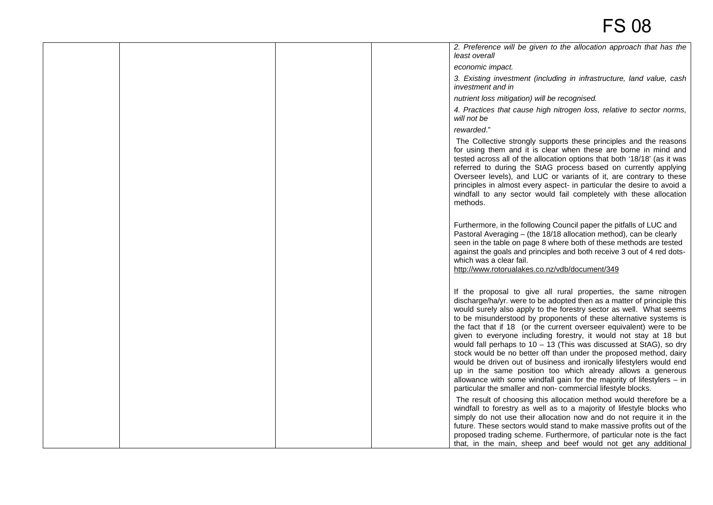|  |  | 2. Preference will be given to the allocation approach that has the<br>least overall                                                                                                                                                                                                                                                                                                                                                                                                                                                                                                                                                                                                                                                                                                                                                                             |
|--|--|------------------------------------------------------------------------------------------------------------------------------------------------------------------------------------------------------------------------------------------------------------------------------------------------------------------------------------------------------------------------------------------------------------------------------------------------------------------------------------------------------------------------------------------------------------------------------------------------------------------------------------------------------------------------------------------------------------------------------------------------------------------------------------------------------------------------------------------------------------------|
|  |  | economic impact.                                                                                                                                                                                                                                                                                                                                                                                                                                                                                                                                                                                                                                                                                                                                                                                                                                                 |
|  |  | 3. Existing investment (including in infrastructure, land value, cash<br>investment and in                                                                                                                                                                                                                                                                                                                                                                                                                                                                                                                                                                                                                                                                                                                                                                       |
|  |  | nutrient loss mitigation) will be recognised.                                                                                                                                                                                                                                                                                                                                                                                                                                                                                                                                                                                                                                                                                                                                                                                                                    |
|  |  | 4. Practices that cause high nitrogen loss, relative to sector norms,<br>will not be                                                                                                                                                                                                                                                                                                                                                                                                                                                                                                                                                                                                                                                                                                                                                                             |
|  |  | rewarded."                                                                                                                                                                                                                                                                                                                                                                                                                                                                                                                                                                                                                                                                                                                                                                                                                                                       |
|  |  | The Collective strongly supports these principles and the reasons<br>for using them and it is clear when these are borne in mind and<br>tested across all of the allocation options that both '18/18' (as it was<br>referred to during the StAG process based on currently applying<br>Overseer levels), and LUC or variants of it, are contrary to these<br>principles in almost every aspect- in particular the desire to avoid a<br>windfall to any sector would fail completely with these allocation<br>methods.                                                                                                                                                                                                                                                                                                                                            |
|  |  | Furthermore, in the following Council paper the pitfalls of LUC and<br>Pastoral Averaging - (the 18/18 allocation method), can be clearly<br>seen in the table on page 8 where both of these methods are tested<br>against the goals and principles and both receive 3 out of 4 red dots-<br>which was a clear fail.<br>http://www.rotorualakes.co.nz/vdb/document/349                                                                                                                                                                                                                                                                                                                                                                                                                                                                                           |
|  |  | If the proposal to give all rural properties, the same nitrogen<br>discharge/ha/yr. were to be adopted then as a matter of principle this<br>would surely also apply to the forestry sector as well. What seems<br>to be misunderstood by proponents of these alternative systems is<br>the fact that if 18 (or the current overseer equivalent) were to be<br>given to everyone including forestry, it would not stay at 18 but<br>would fall perhaps to $10 - 13$ (This was discussed at StAG), so dry<br>stock would be no better off than under the proposed method, dairy<br>would be driven out of business and ironically lifestylers would end<br>up in the same position too which already allows a generous<br>allowance with some windfall gain for the majority of lifestylers $-$ in<br>particular the smaller and non-commercial lifestyle blocks. |
|  |  | The result of choosing this allocation method would therefore be a<br>windfall to forestry as well as to a majority of lifestyle blocks who<br>simply do not use their allocation now and do not require it in the<br>future. These sectors would stand to make massive profits out of the<br>proposed trading scheme. Furthermore, of particular note is the fact<br>that, in the main, sheep and beef would not get any additional                                                                                                                                                                                                                                                                                                                                                                                                                             |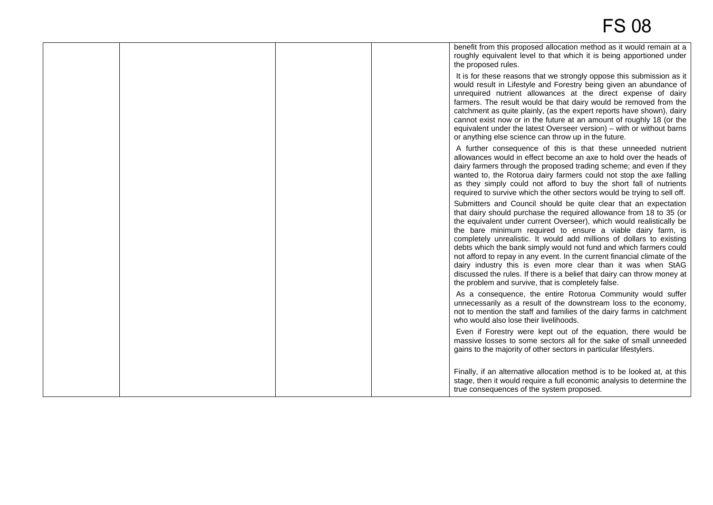|  | benefit from this proposed allocation method as it would remain at a<br>roughly equivalent level to that which it is being apportioned under<br>the proposed rules.                                                                                                                                                                                                                                                                                                                                                                                                                                                                                                                                        |
|--|------------------------------------------------------------------------------------------------------------------------------------------------------------------------------------------------------------------------------------------------------------------------------------------------------------------------------------------------------------------------------------------------------------------------------------------------------------------------------------------------------------------------------------------------------------------------------------------------------------------------------------------------------------------------------------------------------------|
|  | It is for these reasons that we strongly oppose this submission as it<br>would result in Lifestyle and Forestry being given an abundance of<br>unrequired nutrient allowances at the direct expense of dairy<br>farmers. The result would be that dairy would be removed from the<br>catchment as quite plainly, (as the expert reports have shown), dairy<br>cannot exist now or in the future at an amount of roughly 18 (or the<br>equivalent under the latest Overseer version) - with or without barns<br>or anything else science can throw up in the future.                                                                                                                                        |
|  | A further consequence of this is that these unneeded nutrient<br>allowances would in effect become an axe to hold over the heads of<br>dairy farmers through the proposed trading scheme; and even if they<br>wanted to, the Rotorua dairy farmers could not stop the axe falling<br>as they simply could not afford to buy the short fall of nutrients<br>required to survive which the other sectors would be trying to sell off.                                                                                                                                                                                                                                                                        |
|  | Submitters and Council should be quite clear that an expectation<br>that dairy should purchase the required allowance from 18 to 35 (or<br>the equivalent under current Overseer), which would realistically be<br>the bare minimum required to ensure a viable dairy farm, is<br>completely unrealistic. It would add millions of dollars to existing<br>debts which the bank simply would not fund and which farmers could<br>not afford to repay in any event. In the current financial climate of the<br>dairy industry this is even more clear than it was when StAG<br>discussed the rules. If there is a belief that dairy can throw money at<br>the problem and survive, that is completely false. |
|  | As a consequence, the entire Rotorua Community would suffer<br>unnecessarily as a result of the downstream loss to the economy,<br>not to mention the staff and families of the dairy farms in catchment<br>who would also lose their livelihoods.                                                                                                                                                                                                                                                                                                                                                                                                                                                         |
|  | Even if Forestry were kept out of the equation, there would be<br>massive losses to some sectors all for the sake of small unneeded<br>gains to the majority of other sectors in particular lifestylers.                                                                                                                                                                                                                                                                                                                                                                                                                                                                                                   |
|  | Finally, if an alternative allocation method is to be looked at, at this<br>stage, then it would require a full economic analysis to determine the<br>true consequences of the system proposed.                                                                                                                                                                                                                                                                                                                                                                                                                                                                                                            |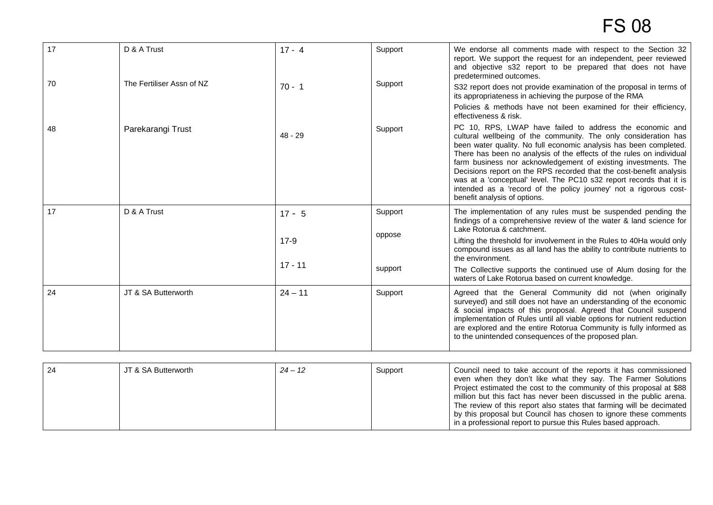| 17 | D & A Trust               | $17 - 4$  | Support | We endorse all comments made with respect to the Section 32<br>report. We support the request for an independent, peer reviewed<br>and objective s32 report to be prepared that does not have<br>predetermined outcomes.                                                                                                                                                                                                                                                                                                                                                                      |
|----|---------------------------|-----------|---------|-----------------------------------------------------------------------------------------------------------------------------------------------------------------------------------------------------------------------------------------------------------------------------------------------------------------------------------------------------------------------------------------------------------------------------------------------------------------------------------------------------------------------------------------------------------------------------------------------|
| 70 | The Fertiliser Assn of NZ | $70 - 1$  | Support | S32 report does not provide examination of the proposal in terms of<br>its appropriateness in achieving the purpose of the RMA                                                                                                                                                                                                                                                                                                                                                                                                                                                                |
|    |                           |           |         | Policies & methods have not been examined for their efficiency,<br>effectiveness & risk.                                                                                                                                                                                                                                                                                                                                                                                                                                                                                                      |
| 48 | Parekarangi Trust         | $48 - 29$ | Support | PC 10, RPS, LWAP have failed to address the economic and<br>cultural wellbeing of the community. The only consideration has<br>been water quality. No full economic analysis has been completed.<br>There has been no analysis of the effects of the rules on individual<br>farm business nor acknowledgement of existing investments. The<br>Decisions report on the RPS recorded that the cost-benefit analysis<br>was at a 'conceptual' level. The PC10 s32 report records that it is<br>intended as a 'record of the policy journey' not a rigorous cost-<br>benefit analysis of options. |
| 17 | D & A Trust               | $17 - 5$  | Support | The implementation of any rules must be suspended pending the<br>findings of a comprehensive review of the water & land science for<br>Lake Rotorua & catchment.                                                                                                                                                                                                                                                                                                                                                                                                                              |
|    |                           | $17-9$    | oppose  | Lifting the threshold for involvement in the Rules to 40Ha would only<br>compound issues as all land has the ability to contribute nutrients to<br>the environment.                                                                                                                                                                                                                                                                                                                                                                                                                           |
|    |                           | $17 - 11$ | support | The Collective supports the continued use of Alum dosing for the<br>waters of Lake Rotorua based on current knowledge.                                                                                                                                                                                                                                                                                                                                                                                                                                                                        |
| 24 | JT & SA Butterworth       | $24 - 11$ | Support | Agreed that the General Community did not (when originally<br>surveyed) and still does not have an understanding of the economic<br>& social impacts of this proposal. Agreed that Council suspend<br>implementation of Rules until all viable options for nutrient reduction<br>are explored and the entire Rotorua Community is fully informed as<br>to the unintended consequences of the proposed plan.                                                                                                                                                                                   |

| $\vert$ 24 | JT & SA Butterworth | $24 - 12$ | Support | Council need to take account of the reports it has commissioned<br>even when they don't like what they say. The Farmer Solutions<br>Project estimated the cost to the community of this proposal at \$88<br>million but this fact has never been discussed in the public arena.<br>The review of this report also states that farming will be decimated<br>by this proposal but Council has chosen to ignore these comments<br>in a professional report to pursue this Rules based approach. |
|------------|---------------------|-----------|---------|----------------------------------------------------------------------------------------------------------------------------------------------------------------------------------------------------------------------------------------------------------------------------------------------------------------------------------------------------------------------------------------------------------------------------------------------------------------------------------------------|
|------------|---------------------|-----------|---------|----------------------------------------------------------------------------------------------------------------------------------------------------------------------------------------------------------------------------------------------------------------------------------------------------------------------------------------------------------------------------------------------------------------------------------------------------------------------------------------------|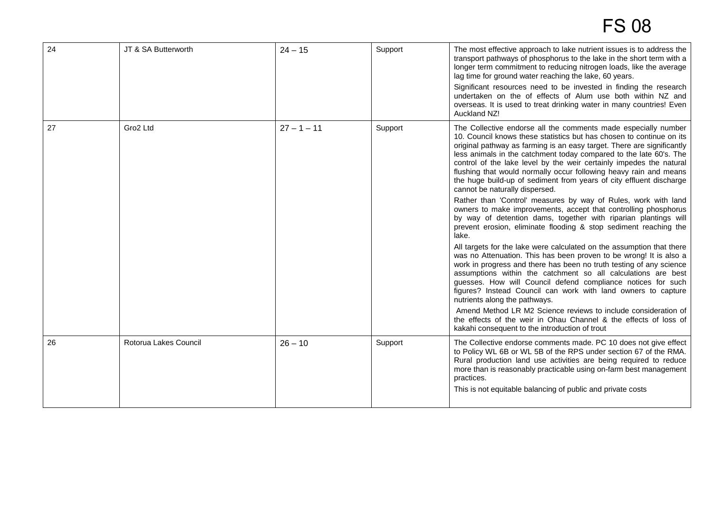| 24 | JT & SA Butterworth   | $24 - 15$     | Support | The most effective approach to lake nutrient issues is to address the<br>transport pathways of phosphorus to the lake in the short term with a<br>longer term commitment to reducing nitrogen loads, like the average<br>lag time for ground water reaching the lake, 60 years.<br>Significant resources need to be invested in finding the research<br>undertaken on the of effects of Alum use both within NZ and<br>overseas. It is used to treat drinking water in many countries! Even<br>Auckland NZ!                                                                                                                                                                                                                                                                                                                                                                                                                                                                                                                                                                                                                                                                                                                                                                                                                                                                                                                                                                       |
|----|-----------------------|---------------|---------|-----------------------------------------------------------------------------------------------------------------------------------------------------------------------------------------------------------------------------------------------------------------------------------------------------------------------------------------------------------------------------------------------------------------------------------------------------------------------------------------------------------------------------------------------------------------------------------------------------------------------------------------------------------------------------------------------------------------------------------------------------------------------------------------------------------------------------------------------------------------------------------------------------------------------------------------------------------------------------------------------------------------------------------------------------------------------------------------------------------------------------------------------------------------------------------------------------------------------------------------------------------------------------------------------------------------------------------------------------------------------------------------------------------------------------------------------------------------------------------|
| 27 | Gro2 Ltd              | $27 - 1 - 11$ | Support | The Collective endorse all the comments made especially number<br>10. Council knows these statistics but has chosen to continue on its<br>original pathway as farming is an easy target. There are significantly<br>less animals in the catchment today compared to the late 60's. The<br>control of the lake level by the weir certainly impedes the natural<br>flushing that would normally occur following heavy rain and means<br>the huge build-up of sediment from years of city effluent discharge<br>cannot be naturally dispersed.<br>Rather than 'Control' measures by way of Rules, work with land<br>owners to make improvements, accept that controlling phosphorus<br>by way of detention dams, together with riparian plantings will<br>prevent erosion, eliminate flooding & stop sediment reaching the<br>lake.<br>All targets for the lake were calculated on the assumption that there<br>was no Attenuation. This has been proven to be wrong! It is also a<br>work in progress and there has been no truth testing of any science<br>assumptions within the catchment so all calculations are best<br>guesses. How will Council defend compliance notices for such<br>figures? Instead Council can work with land owners to capture<br>nutrients along the pathways.<br>Amend Method LR M2 Science reviews to include consideration of<br>the effects of the weir in Ohau Channel & the effects of loss of<br>kakahi consequent to the introduction of trout |
| 26 | Rotorua Lakes Council | $26 - 10$     | Support | The Collective endorse comments made. PC 10 does not give effect<br>to Policy WL 6B or WL 5B of the RPS under section 67 of the RMA.<br>Rural production land use activities are being required to reduce<br>more than is reasonably practicable using on-farm best management<br>practices.<br>This is not equitable balancing of public and private costs                                                                                                                                                                                                                                                                                                                                                                                                                                                                                                                                                                                                                                                                                                                                                                                                                                                                                                                                                                                                                                                                                                                       |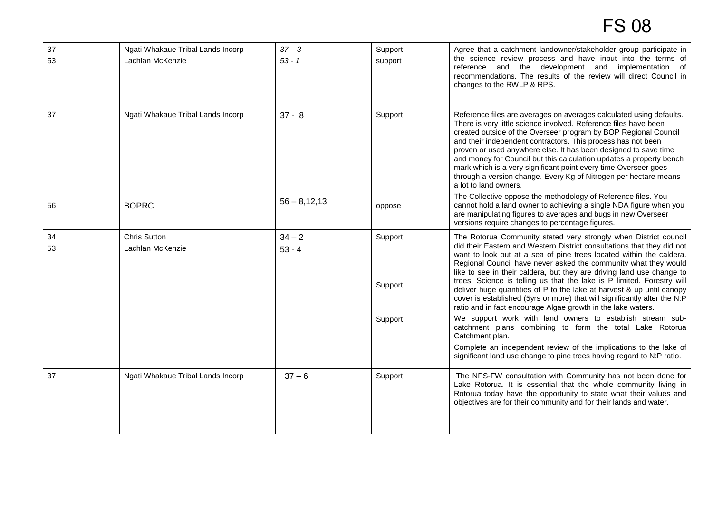| 37<br>53 | Ngati Whakaue Tribal Lands Incorp<br>Lachlan McKenzie | $37 - 3$<br>$53 - 1$ | Support<br>support            | Agree that a catchment landowner/stakeholder group participate in<br>the science review process and have input into the terms of<br>reference and the development and implementation of<br>recommendations. The results of the review will direct Council in<br>changes to the RWLP & RPS.                                                                                                                                                                                                                                                                                                                                                                                                                                                                                                                                                                                                                                                              |
|----------|-------------------------------------------------------|----------------------|-------------------------------|---------------------------------------------------------------------------------------------------------------------------------------------------------------------------------------------------------------------------------------------------------------------------------------------------------------------------------------------------------------------------------------------------------------------------------------------------------------------------------------------------------------------------------------------------------------------------------------------------------------------------------------------------------------------------------------------------------------------------------------------------------------------------------------------------------------------------------------------------------------------------------------------------------------------------------------------------------|
| 37       | Ngati Whakaue Tribal Lands Incorp                     | $37 - 8$             | Support                       | Reference files are averages on averages calculated using defaults.<br>There is very little science involved. Reference files have been<br>created outside of the Overseer program by BOP Regional Council<br>and their independent contractors. This process has not been<br>proven or used anywhere else. It has been designed to save time<br>and money for Council but this calculation updates a property bench<br>mark which is a very significant point every time Overseer goes<br>through a version change. Every Kg of Nitrogen per hectare means<br>a lot to land owners.                                                                                                                                                                                                                                                                                                                                                                    |
| 56       | <b>BOPRC</b>                                          | $56 - 8,12,13$       | oppose                        | The Collective oppose the methodology of Reference files. You<br>cannot hold a land owner to achieving a single NDA figure when you<br>are manipulating figures to averages and bugs in new Overseer<br>versions require changes to percentage figures.                                                                                                                                                                                                                                                                                                                                                                                                                                                                                                                                                                                                                                                                                                 |
| 34<br>53 | <b>Chris Sutton</b><br>Lachlan McKenzie               | $34 - 2$<br>$53 - 4$ | Support<br>Support<br>Support | The Rotorua Community stated very strongly when District council<br>did their Eastern and Western District consultations that they did not<br>want to look out at a sea of pine trees located within the caldera.<br>Regional Council have never asked the community what they would<br>like to see in their caldera, but they are driving land use change to<br>trees. Science is telling us that the lake is P limited. Forestry will<br>deliver huge quantities of P to the lake at harvest & up until canopy<br>cover is established (5yrs or more) that will significantly alter the N:P<br>ratio and in fact encourage Algae growth in the lake waters.<br>We support work with land owners to establish stream sub-<br>catchment plans combining to form the total Lake Rotorua<br>Catchment plan.<br>Complete an independent review of the implications to the lake of<br>significant land use change to pine trees having regard to N:P ratio. |
| 37       | Ngati Whakaue Tribal Lands Incorp                     | $37 - 6$             | Support                       | The NPS-FW consultation with Community has not been done for<br>Lake Rotorua. It is essential that the whole community living in<br>Rotorua today have the opportunity to state what their values and<br>objectives are for their community and for their lands and water.                                                                                                                                                                                                                                                                                                                                                                                                                                                                                                                                                                                                                                                                              |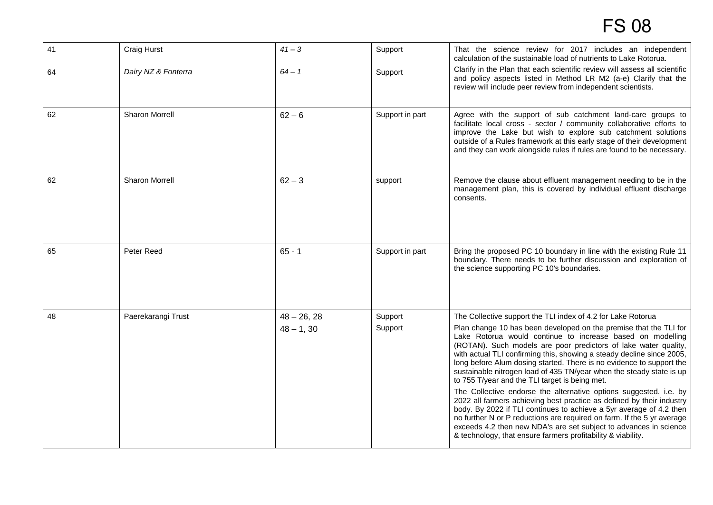| 41 | Craig Hurst           | $41 - 3$                     | Support            | That the science review for 2017 includes an independent<br>calculation of the sustainable load of nutrients to Lake Rotorua.                                                                                                                                                                                                                                                                                                                                                                                                                                                                                                                                                                                                                                                                                                                                                                                                                                                     |
|----|-----------------------|------------------------------|--------------------|-----------------------------------------------------------------------------------------------------------------------------------------------------------------------------------------------------------------------------------------------------------------------------------------------------------------------------------------------------------------------------------------------------------------------------------------------------------------------------------------------------------------------------------------------------------------------------------------------------------------------------------------------------------------------------------------------------------------------------------------------------------------------------------------------------------------------------------------------------------------------------------------------------------------------------------------------------------------------------------|
| 64 | Dairy NZ & Fonterra   | $64 - 1$                     | Support            | Clarify in the Plan that each scientific review will assess all scientific<br>and policy aspects listed in Method LR M2 (a-e) Clarify that the<br>review will include peer review from independent scientists.                                                                                                                                                                                                                                                                                                                                                                                                                                                                                                                                                                                                                                                                                                                                                                    |
| 62 | Sharon Morrell        | $62 - 6$                     | Support in part    | Agree with the support of sub catchment land-care groups to<br>facilitate local cross - sector / community collaborative efforts to<br>improve the Lake but wish to explore sub catchment solutions<br>outside of a Rules framework at this early stage of their development<br>and they can work alongside rules if rules are found to be necessary.                                                                                                                                                                                                                                                                                                                                                                                                                                                                                                                                                                                                                             |
| 62 | <b>Sharon Morrell</b> | $62 - 3$                     | support            | Remove the clause about effluent management needing to be in the<br>management plan, this is covered by individual effluent discharge<br>consents.                                                                                                                                                                                                                                                                                                                                                                                                                                                                                                                                                                                                                                                                                                                                                                                                                                |
| 65 | Peter Reed            | $65 - 1$                     | Support in part    | Bring the proposed PC 10 boundary in line with the existing Rule 11<br>boundary. There needs to be further discussion and exploration of<br>the science supporting PC 10's boundaries.                                                                                                                                                                                                                                                                                                                                                                                                                                                                                                                                                                                                                                                                                                                                                                                            |
| 48 | Paerekarangi Trust    | $48 - 26, 28$<br>$48 - 1,30$ | Support<br>Support | The Collective support the TLI index of 4.2 for Lake Rotorua<br>Plan change 10 has been developed on the premise that the TLI for<br>Lake Rotorua would continue to increase based on modelling<br>(ROTAN). Such models are poor predictors of lake water quality,<br>with actual TLI confirming this, showing a steady decline since 2005,<br>long before Alum dosing started. There is no evidence to support the<br>sustainable nitrogen load of 435 TN/year when the steady state is up<br>to 755 T/year and the TLI target is being met.<br>The Collective endorse the alternative options suggested. i.e. by<br>2022 all farmers achieving best practice as defined by their industry<br>body. By 2022 if TLI continues to achieve a 5yr average of 4.2 then<br>no further N or P reductions are required on farm. If the 5 yr average<br>exceeds 4.2 then new NDA's are set subject to advances in science<br>& technology, that ensure farmers profitability & viability. |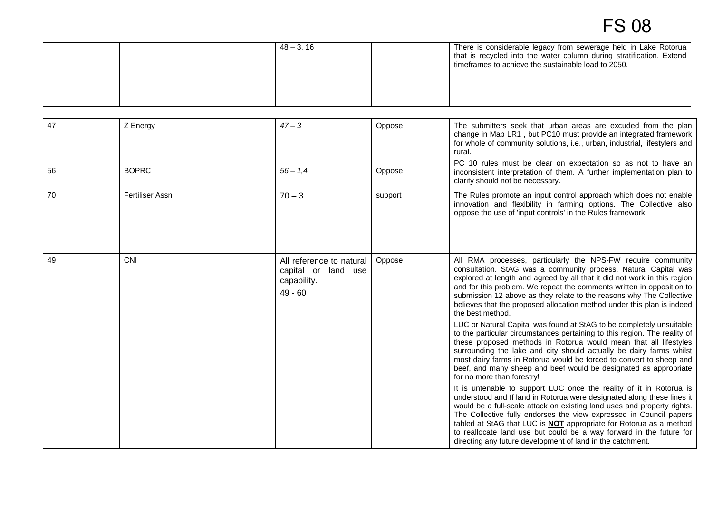|  | $48 - 3, 16$ | There is considerable legacy from sewerage held in Lake Rotorua<br>I that is recycled into the water column during stratification. Extend<br>timeframes to achieve the sustainable load to 2050. |
|--|--------------|--------------------------------------------------------------------------------------------------------------------------------------------------------------------------------------------------|
|  |              |                                                                                                                                                                                                  |

| 47 | Z Energy        | $47 - 3$                                                                       | Oppose  | The submitters seek that urban areas are excuded from the plan<br>change in Map LR1, but PC10 must provide an integrated framework<br>for whole of community solutions, i.e., urban, industrial, lifestylers and<br>rural.                                                                                                                                                                                                                                                                                       |
|----|-----------------|--------------------------------------------------------------------------------|---------|------------------------------------------------------------------------------------------------------------------------------------------------------------------------------------------------------------------------------------------------------------------------------------------------------------------------------------------------------------------------------------------------------------------------------------------------------------------------------------------------------------------|
| 56 | <b>BOPRC</b>    | $56 - 1.4$                                                                     | Oppose  | PC 10 rules must be clear on expectation so as not to have an<br>inconsistent interpretation of them. A further implementation plan to<br>clarify should not be necessary.                                                                                                                                                                                                                                                                                                                                       |
| 70 | Fertiliser Assn | $70 - 3$                                                                       | support | The Rules promote an input control approach which does not enable<br>innovation and flexibility in farming options. The Collective also<br>oppose the use of 'input controls' in the Rules framework.                                                                                                                                                                                                                                                                                                            |
| 49 | CNI             | All reference to natural<br>land use<br>capital or<br>capability.<br>$49 - 60$ | Oppose  | All RMA processes, particularly the NPS-FW require community<br>consultation. StAG was a community process. Natural Capital was<br>explored at length and agreed by all that it did not work in this region<br>and for this problem. We repeat the comments written in opposition to<br>submission 12 above as they relate to the reasons why The Collective<br>believes that the proposed allocation method under this plan is indeed<br>the best method.                                                       |
|    |                 |                                                                                |         | LUC or Natural Capital was found at StAG to be completely unsuitable<br>to the particular circumstances pertaining to this region. The reality of<br>these proposed methods in Rotorua would mean that all lifestyles<br>surrounding the lake and city should actually be dairy farms whilst<br>most dairy farms in Rotorua would be forced to convert to sheep and<br>beef, and many sheep and beef would be designated as appropriate<br>for no more than forestry!                                            |
|    |                 |                                                                                |         | It is untenable to support LUC once the reality of it in Rotorua is<br>understood and If land in Rotorua were designated along these lines it<br>would be a full-scale attack on existing land uses and property rights.<br>The Collective fully endorses the view expressed in Council papers<br>tabled at StAG that LUC is <b>NOT</b> appropriate for Rotorua as a method<br>to reallocate land use but could be a way forward in the future for<br>directing any future development of land in the catchment. |